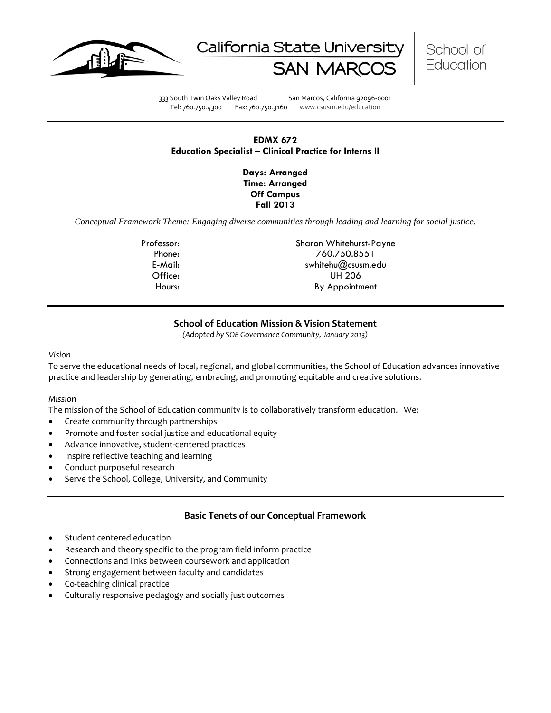





333 South Twin Oaks Valley Road San Marcos, California 92096-0001 Tel: 760.750.4300 Fax: 760.750.3160 www.csusm.edu/education

# **EDMX 672 Education Specialist – Clinical Practice for Interns II**

**Days: Arranged Time: Arranged Off Campus Fall 2013** 

*Conceptual Framework Theme: Engaging diverse communities through leading and learning for social justice.*

Professor: Sharon Whitehurst-Payne Phone: 760.750.8551 E-Mail: swhitehu@csusm.edu Office: UH 206 Hours: By Appointment

# **School of Education Mission & Vision Statement**

*(Adopted by SOE Governance Community, January 2013)*

#### *Vision*

To serve the educational needs of local, regional, and global communities, the School of Education advances innovative practice and leadership by generating, embracing, and promoting equitable and creative solutions.

#### *Mission*

The mission of the School of Education community is to collaboratively transform education. We:

- Create community through partnerships
- Promote and foster social justice and educational equity
- Advance innovative, student-centered practices
- Inspire reflective teaching and learning
- Conduct purposeful research
- Serve the School, College, University, and Community

### **Basic Tenets of our Conceptual Framework**

- Student centered education
- Research and theory specific to the program field inform practice
- Connections and links between coursework and application
- Strong engagement between faculty and candidates
- Co-teaching clinical practice
- Culturally responsive pedagogy and socially just outcomes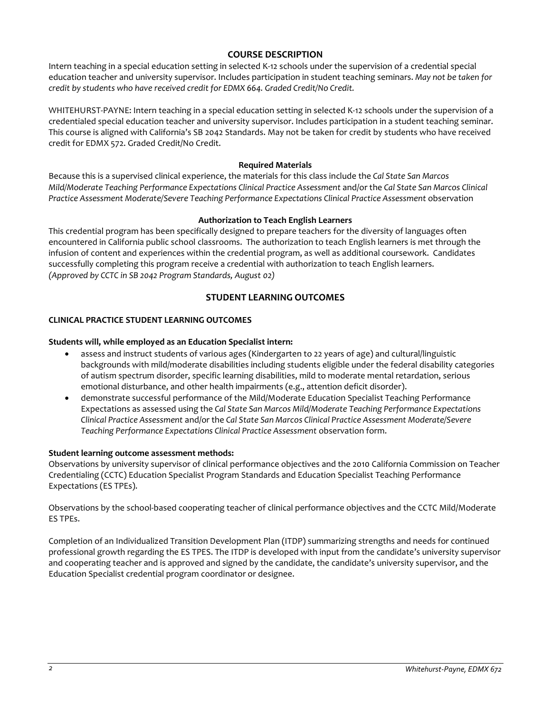# **COURSE DESCRIPTION**

Intern teaching in a special education setting in selected K-12 schools under the supervision of a credential special education teacher and university supervisor. Includes participation in student teaching seminars. *May not be taken for credit by students who have received credit for EDMX 664. Graded Credit/No Credit.*

WHITEHURST-PAYNE: Intern teaching in a special education setting in selected K-12 schools under the supervision of a credentialed special education teacher and university supervisor. Includes participation in a student teaching seminar. This course is aligned with California's SB 2042 Standards. May not be taken for credit by students who have received credit for EDMX 572. Graded Credit/No Credit.

### **Required Materials**

Because this is a supervised clinical experience, the materials for this class include the *Cal State San Marcos Mild/Moderate Teaching Performance Expectations Clinical Practice Assessment* and/or the *Cal State San Marcos Clinical Practice Assessment Moderate/Severe Teaching Performance Expectations Clinical Practice Assessment* observation

# **Authorization to Teach English Learners**

This credential program has been specifically designed to prepare teachers for the diversity of languages often encountered in California public school classrooms. The authorization to teach English learners is met through the infusion of content and experiences within the credential program, as well as additional coursework. Candidates successfully completing this program receive a credential with authorization to teach English learners. *(Approved by CCTC in SB 2042 Program Standards, August 02)*

# **STUDENT LEARNING OUTCOMES**

# **CLINICAL PRACTICE STUDENT LEARNING OUTCOMES**

# **Students will, while employed as an Education Specialist intern:**

- assess and instruct students of various ages (Kindergarten to 22 years of age) and cultural/linguistic backgrounds with mild/moderate disabilities including students eligible under the federal disability categories of autism spectrum disorder, specific learning disabilities, mild to moderate mental retardation, serious emotional disturbance, and other health impairments (e.g., attention deficit disorder).
- demonstrate successful performance of the Mild/Moderate Education Specialist Teaching Performance Expectations as assessed using the *Cal State San Marcos Mild/Moderate Teaching Performance Expectations Clinical Practice Assessment* and/or the *Cal State San Marcos Clinical Practice Assessment Moderate/Severe Teaching Performance Expectations Clinical Practice Assessment* observation form.

### **Student learning outcome assessment methods:**

Observations by university supervisor of clinical performance objectives and the 2010 California Commission on Teacher Credentialing (CCTC) Education Specialist Program Standards and Education Specialist Teaching Performance Expectations (ES TPEs).

Observations by the school-based cooperating teacher of clinical performance objectives and the CCTC Mild/Moderate ES TPEs.

Completion of an Individualized Transition Development Plan (ITDP) summarizing strengths and needs for continued professional growth regarding the ES TPES. The ITDP is developed with input from the candidate's university supervisor and cooperating teacher and is approved and signed by the candidate, the candidate's university supervisor, and the Education Specialist credential program coordinator or designee.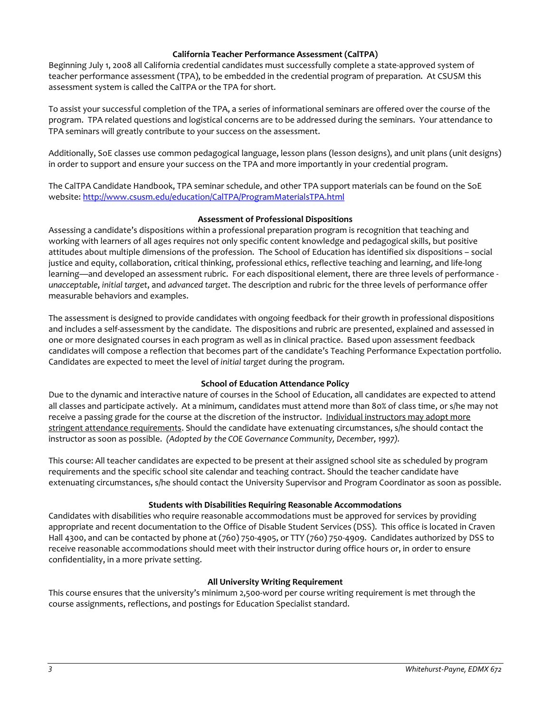### **California Teacher Performance Assessment (CalTPA)**

Beginning July 1, 2008 all California credential candidates must successfully complete a state-approved system of teacher performance assessment (TPA), to be embedded in the credential program of preparation. At CSUSM this assessment system is called the CalTPA or the TPA for short.

To assist your successful completion of the TPA, a series of informational seminars are offered over the course of the program. TPA related questions and logistical concerns are to be addressed during the seminars. Your attendance to TPA seminars will greatly contribute to your success on the assessment.

Additionally, SoE classes use common pedagogical language, lesson plans (lesson designs), and unit plans (unit designs) in order to support and ensure your success on the TPA and more importantly in your credential program.

The CalTPA Candidate Handbook, TPA seminar schedule, and other TPA support materials can be found on the SoE website: <http://www.csusm.edu/education/CalTPA/ProgramMaterialsTPA.html>

# **Assessment of Professional Dispositions**

Assessing a candidate's dispositions within a professional preparation program is recognition that teaching and working with learners of all ages requires not only specific content knowledge and pedagogical skills, but positive attitudes about multiple dimensions of the profession. The School of Education has identified six dispositions – social justice and equity, collaboration, critical thinking, professional ethics, reflective teaching and learning, and life-long learning—and developed an assessment rubric. For each dispositional element, there are three levels of performance *unacceptable*, *initial target*, and *advanced target*. The description and rubric for the three levels of performance offer measurable behaviors and examples.

The assessment is designed to provide candidates with ongoing feedback for their growth in professional dispositions and includes a self-assessment by the candidate. The dispositions and rubric are presented, explained and assessed in one or more designated courses in each program as well as in clinical practice. Based upon assessment feedback candidates will compose a reflection that becomes part of the candidate's Teaching Performance Expectation portfolio. Candidates are expected to meet the level of *initial target* during the program.

# **School of Education Attendance Policy**

Due to the dynamic and interactive nature of courses in the School of Education, all candidates are expected to attend all classes and participate actively. At a minimum, candidates must attend more than 80% of class time, or s/he may not receive a passing grade for the course at the discretion of the instructor. Individual instructors may adopt more stringent attendance requirements. Should the candidate have extenuating circumstances, s/he should contact the instructor as soon as possible. *(Adopted by the COE Governance Community, December, 1997).*

This course: All teacher candidates are expected to be present at their assigned school site as scheduled by program requirements and the specific school site calendar and teaching contract. Should the teacher candidate have extenuating circumstances, s/he should contact the University Supervisor and Program Coordinator as soon as possible.

# **Students with Disabilities Requiring Reasonable Accommodations**

Candidates with disabilities who require reasonable accommodations must be approved for services by providing appropriate and recent documentation to the Office of Disable Student Services (DSS). This office is located in Craven Hall 4300, and can be contacted by phone at (760) 750-4905, or TTY (760) 750-4909. Candidates authorized by DSS to receive reasonable accommodations should meet with their instructor during office hours or, in order to ensure confidentiality, in a more private setting.

### **All University Writing Requirement**

This course ensures that the university's minimum 2,500-word per course writing requirement is met through the course assignments, reflections, and postings for Education Specialist standard.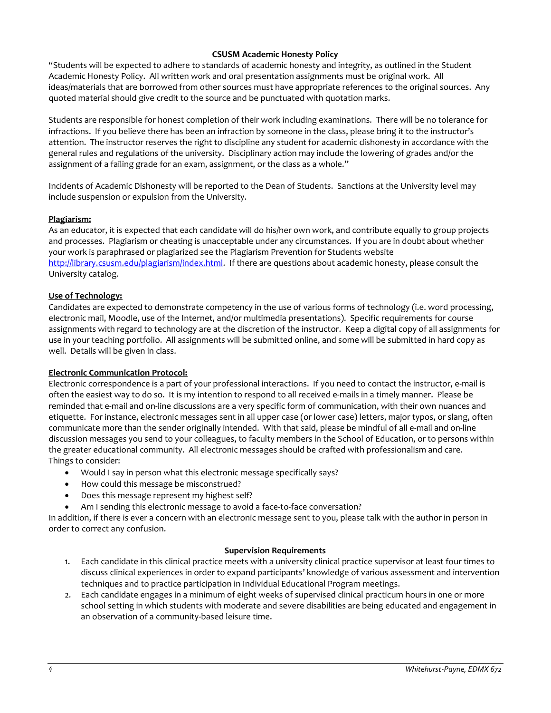# **CSUSM Academic Honesty Policy**

"Students will be expected to adhere to standards of academic honesty and integrity, as outlined in the Student Academic Honesty Policy. All written work and oral presentation assignments must be original work. All ideas/materials that are borrowed from other sources must have appropriate references to the original sources. Any quoted material should give credit to the source and be punctuated with quotation marks.

Students are responsible for honest completion of their work including examinations. There will be no tolerance for infractions. If you believe there has been an infraction by someone in the class, please bring it to the instructor's attention. The instructor reserves the right to discipline any student for academic dishonesty in accordance with the general rules and regulations of the university. Disciplinary action may include the lowering of grades and/or the assignment of a failing grade for an exam, assignment, or the class as a whole."

Incidents of Academic Dishonesty will be reported to the Dean of Students. Sanctions at the University level may include suspension or expulsion from the University.

### **Plagiarism:**

As an educator, it is expected that each candidate will do his/her own work, and contribute equally to group projects and processes. Plagiarism or cheating is unacceptable under any circumstances. If you are in doubt about whether your work is paraphrased or plagiarized see the Plagiarism Prevention for Students website [http://library.csusm.edu/plagiarism/index.html.](http://library.csusm.edu/plagiarism/index.html) If there are questions about academic honesty, please consult the University catalog.

# **Use of Technology:**

Candidates are expected to demonstrate competency in the use of various forms of technology (i.e. word processing, electronic mail, Moodle, use of the Internet, and/or multimedia presentations). Specific requirements for course assignments with regard to technology are at the discretion of the instructor. Keep a digital copy of all assignments for use in your teaching portfolio. All assignments will be submitted online, and some will be submitted in hard copy as well. Details will be given in class.

### **Electronic Communication Protocol:**

Electronic correspondence is a part of your professional interactions. If you need to contact the instructor, e-mail is often the easiest way to do so. It is my intention to respond to all received e-mails in a timely manner. Please be reminded that e-mail and on-line discussions are a very specific form of communication, with their own nuances and etiquette. For instance, electronic messages sent in all upper case (or lower case) letters, major typos, or slang, often communicate more than the sender originally intended. With that said, please be mindful of all e-mail and on-line discussion messages you send to your colleagues, to faculty members in the School of Education, or to persons within the greater educational community. All electronic messages should be crafted with professionalism and care. Things to consider:

- Would I say in person what this electronic message specifically says?
- How could this message be misconstrued?
- Does this message represent my highest self?
- Am I sending this electronic message to avoid a face-to-face conversation?

In addition, if there is ever a concern with an electronic message sent to you, please talk with the author in person in order to correct any confusion.

### **Supervision Requirements**

- 1. Each candidate in this clinical practice meets with a university clinical practice supervisor at least four times to discuss clinical experiences in order to expand participants' knowledge of various assessment and intervention techniques and to practice participation in Individual Educational Program meetings.
- 2. Each candidate engages in a minimum of eight weeks of supervised clinical practicum hours in one or more school setting in which students with moderate and severe disabilities are being educated and engagement in an observation of a community-based leisure time.